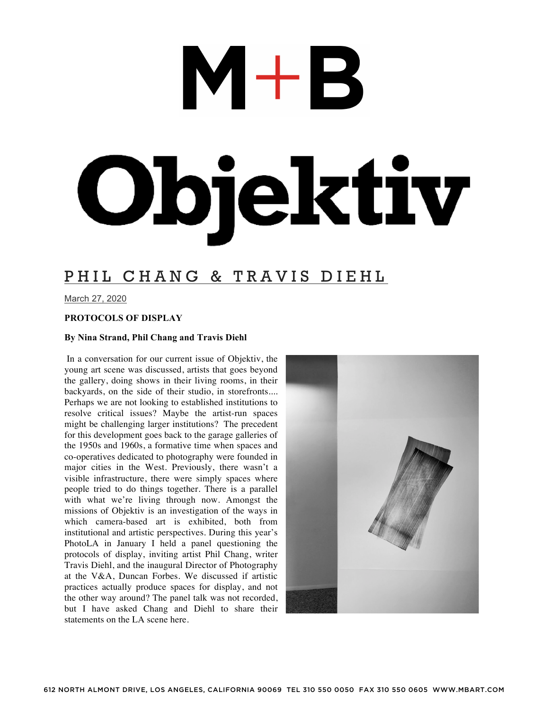# $M+B$ Objektiv

### PHIL CHANG & TRAVIS DIEHL

March 27, 2020

### **PROTOCOLS OF DISPLAY**

### **By Nina Strand, Phil Chang and Travis Diehl**

In a conversation for our current issue of Objektiv, the young art scene was discussed, artists that goes beyond the gallery, doing shows in their living rooms, in their backyards, on the side of their studio, in storefronts.... Perhaps we are not looking to established institutions to resolve critical issues? Maybe the artist-run spaces might be challenging larger institutions? The precedent for this development goes back to the garage galleries of the 1950s and 1960s, a formative time when spaces and co-operatives dedicated to photography were founded in major cities in the West. Previously, there wasn't a visible infrastructure, there were simply spaces where people tried to do things together. There is a parallel with what we're living through now. Amongst the missions of Objektiv is an investigation of the ways in which camera-based art is exhibited, both from institutional and artistic perspectives. During this year's PhotoLA in January I held a panel questioning the protocols of display, inviting artist Phil Chang, writer Travis Diehl, and the inaugural Director of Photography at the V&A, Duncan Forbes. We discussed if artistic practices actually produce spaces for display, and not the other way around? The panel talk was not recorded, but I have asked Chang and Diehl to share their statements on the LA scene here.

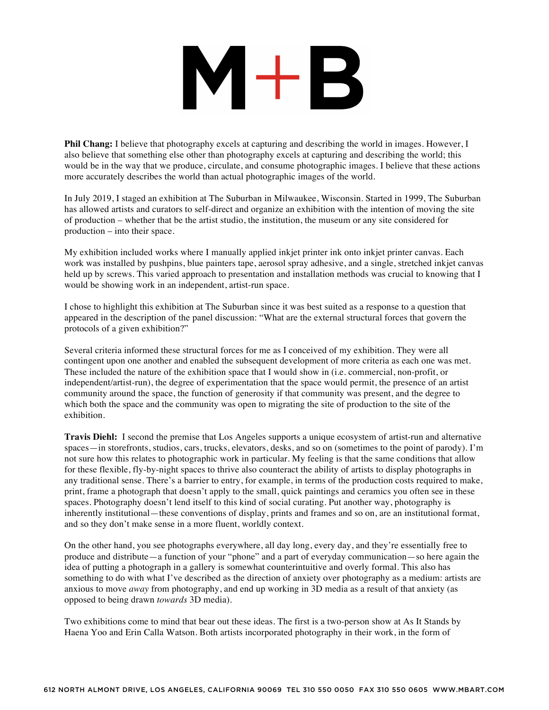## $M+B$

**Phil Chang:** I believe that photography excels at capturing and describing the world in images. However, I also believe that something else other than photography excels at capturing and describing the world; this would be in the way that we produce, circulate, and consume photographic images. I believe that these actions more accurately describes the world than actual photographic images of the world.

In July 2019, I staged an exhibition at The Suburban in Milwaukee, Wisconsin. Started in 1999, The Suburban has allowed artists and curators to self-direct and organize an exhibition with the intention of moving the site of production – whether that be the artist studio, the institution, the museum or any site considered for production – into their space.

My exhibition included works where I manually applied inkjet printer ink onto inkjet printer canvas. Each work was installed by pushpins, blue painters tape, aerosol spray adhesive, and a single, stretched inkjet canvas held up by screws. This varied approach to presentation and installation methods was crucial to knowing that I would be showing work in an independent, artist-run space.

I chose to highlight this exhibition at The Suburban since it was best suited as a response to a question that appeared in the description of the panel discussion: "What are the external structural forces that govern the protocols of a given exhibition?"

Several criteria informed these structural forces for me as I conceived of my exhibition. They were all contingent upon one another and enabled the subsequent development of more criteria as each one was met. These included the nature of the exhibition space that I would show in (i.e. commercial, non-profit, or independent/artist-run), the degree of experimentation that the space would permit, the presence of an artist community around the space, the function of generosity if that community was present, and the degree to which both the space and the community was open to migrating the site of production to the site of the exhibition.

**Travis Diehl:** I second the premise that Los Angeles supports a unique ecosystem of artist-run and alternative spaces—in storefronts, studios, cars, trucks, elevators, desks, and so on (sometimes to the point of parody). I'm not sure how this relates to photographic work in particular. My feeling is that the same conditions that allow for these flexible, fly-by-night spaces to thrive also counteract the ability of artists to display photographs in any traditional sense. There's a barrier to entry, for example, in terms of the production costs required to make, print, frame a photograph that doesn't apply to the small, quick paintings and ceramics you often see in these spaces. Photography doesn't lend itself to this kind of social curating. Put another way, photography is inherently institutional—these conventions of display, prints and frames and so on, are an institutional format, and so they don't make sense in a more fluent, worldly context.

On the other hand, you see photographs everywhere, all day long, every day, and they're essentially free to produce and distribute—a function of your "phone" and a part of everyday communication—so here again the idea of putting a photograph in a gallery is somewhat counterintuitive and overly formal. This also has something to do with what I've described as the direction of anxiety over photography as a medium: artists are anxious to move *away* from photography, and end up working in 3D media as a result of that anxiety (as opposed to being drawn *towards* 3D media).

Two exhibitions come to mind that bear out these ideas. The first is a two-person show at As It Stands by Haena Yoo and Erin Calla Watson. Both artists incorporated photography in their work, in the form of